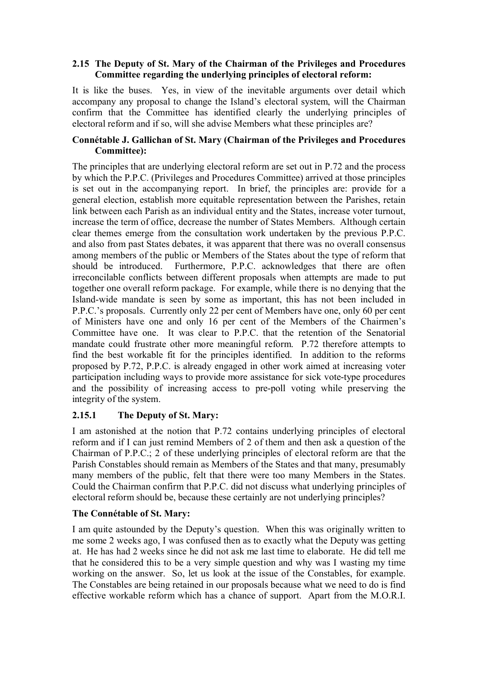#### **2.15 The Deputy of St. Mary of the Chairman of the Privileges and Procedures Committee regarding the underlying principles of electoral reform:**

It is like the buses. Yes, in view of the inevitable arguments over detail which accompany any proposal to change the Island's electoral system, will the Chairman confirm that the Committee has identified clearly the underlying principles of electoral reform and if so, will she advise Members what these principles are?

## **Connétable J. Gallichan of St. Mary (Chairman of the Privileges and Procedures Committee):**

The principles that are underlying electoral reform are set out in P.72 and the process by which the P.P.C. (Privileges and Procedures Committee) arrived at those principles is set out in the accompanying report. In brief, the principles are: provide for a general election, establish more equitable representation between the Parishes, retain link between each Parish as an individual entity and the States, increase voter turnout, increase the term of office, decrease the number of States Members. Although certain clear themes emerge from the consultation work undertaken by the previous P.P.C. and also from past States debates, it was apparent that there was no overall consensus among members of the public or Members of the States about the type of reform that should be introduced. Furthermore, P.P.C. acknowledges that there are often irreconcilable conflicts between different proposals when attempts are made to put together one overall reform package. For example, while there is no denying that the Island-wide mandate is seen by some as important, this has not been included in P.P.C.'s proposals. Currently only 22 per cent of Members have one, only 60 per cent of Ministers have one and only 16 per cent of the Members of the Chairmen's Committee have one. It was clear to P.P.C. that the retention of the Senatorial mandate could frustrate other more meaningful reform. P.72 therefore attempts to find the best workable fit for the principles identified. In addition to the reforms proposed by P.72, P.P.C. is already engaged in other work aimed at increasing voter participation including ways to provide more assistance for sick vote-type procedures and the possibility of increasing access to pre-poll voting while preserving the integrity of the system.

## **2.15.1 The Deputy of St. Mary:**

I am astonished at the notion that P.72 contains underlying principles of electoral reform and if I can just remind Members of 2 of them and then ask a question of the Chairman of P.P.C.; 2 of these underlying principles of electoral reform are that the Parish Constables should remain as Members of the States and that many, presumably many members of the public, felt that there were too many Members in the States. Could the Chairman confirm that P.P.C. did not discuss what underlying principles of electoral reform should be, because these certainly are not underlying principles?

## **The Connétable of St. Mary:**

I am quite astounded by the Deputy's question. When this was originally written to me some 2 weeks ago, I was confused then as to exactly what the Deputy was getting at. He has had 2 weeks since he did not ask me last time to elaborate. He did tell me that he considered this to be a very simple question and why was I wasting my time working on the answer. So, let us look at the issue of the Constables, for example. The Constables are being retained in our proposals because what we need to do is find effective workable reform which has a chance of support. Apart from the M.O.R.I.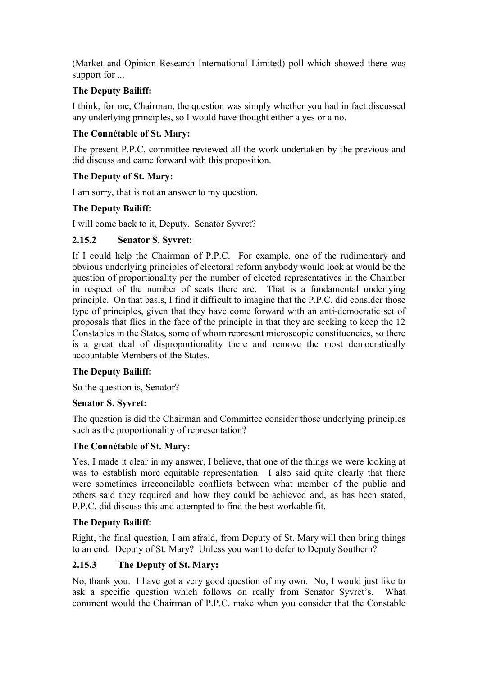(Market and Opinion Research International Limited) poll which showed there was support for ...

# **The Deputy Bailiff:**

I think, for me, Chairman, the question was simply whether you had in fact discussed any underlying principles, so I would have thought either a yes or a no.

## **The Connétable of St. Mary:**

The present P.P.C. committee reviewed all the work undertaken by the previous and did discuss and came forward with this proposition.

## **The Deputy of St. Mary:**

I am sorry, that is not an answer to my question.

## **The Deputy Bailiff:**

I will come back to it, Deputy. Senator Syvret?

## **2.15.2 Senator S. Syvret:**

If I could help the Chairman of P.P.C. For example, one of the rudimentary and obvious underlying principles of electoral reform anybody would look at would be the question of proportionality per the number of elected representatives in the Chamber in respect of the number of seats there are. That is a fundamental underlying principle. On that basis, I find it difficult to imagine that the P.P.C. did consider those type of principles, given that they have come forward with an anti-democratic set of proposals that flies in the face of the principle in that they are seeking to keep the 12 Constables in the States, some of whom represent microscopic constituencies, so there is a great deal of disproportionality there and remove the most democratically accountable Members of the States.

## **The Deputy Bailiff:**

So the question is, Senator?

#### **Senator S. Syvret:**

The question is did the Chairman and Committee consider those underlying principles such as the proportionality of representation?

## **The Connétable of St. Mary:**

Yes, I made it clear in my answer, I believe, that one of the things we were looking at was to establish more equitable representation. I also said quite clearly that there were sometimes irreconcilable conflicts between what member of the public and others said they required and how they could be achieved and, as has been stated, P.P.C. did discuss this and attempted to find the best workable fit.

## **The Deputy Bailiff:**

Right, the final question, I am afraid, from Deputy of St. Mary will then bring things to an end. Deputy of St. Mary? Unless you want to defer to Deputy Southern?

## **2.15.3 The Deputy of St. Mary:**

No, thank you. I have got a very good question of my own. No, I would just like to ask a specific question which follows on really from Senator Syvret's. What comment would the Chairman of P.P.C. make when you consider that the Constable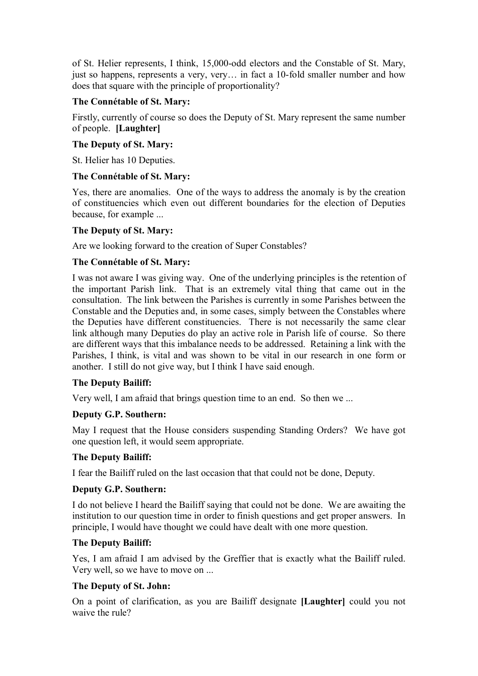of St. Helier represents, I think, 15,000-odd electors and the Constable of St. Mary, just so happens, represents a very, very... in fact a 10-fold smaller number and how does that square with the principle of proportionality?

## **The Connétable of St. Mary:**

Firstly, currently of course so does the Deputy of St. Mary represent the same number of people. **[Laughter]** 

## **The Deputy of St. Mary:**

St. Helier has 10 Deputies.

# **The Connétable of St. Mary:**

Yes, there are anomalies. One of the ways to address the anomaly is by the creation of constituencies which even out different boundaries for the election of Deputies because, for example ...

## **The Deputy of St. Mary:**

Are we looking forward to the creation of Super Constables?

## **The Connétable of St. Mary:**

I was not aware I was giving way. One of the underlying principles is the retention of the important Parish link. That is an extremely vital thing that came out in the consultation. The link between the Parishes is currently in some Parishes between the Constable and the Deputies and, in some cases, simply between the Constables where the Deputies have different constituencies. There is not necessarily the same clear link although many Deputies do play an active role in Parish life of course. So there are different ways that this imbalance needs to be addressed. Retaining a link with the Parishes, I think, is vital and was shown to be vital in our research in one form or another. I still do not give way, but I think I have said enough.

## **The Deputy Bailiff:**

Very well, I am afraid that brings question time to an end. So then we ...

## **Deputy G.P. Southern:**

May I request that the House considers suspending Standing Orders? We have got one question left, it would seem appropriate.

## **The Deputy Bailiff:**

I fear the Bailiff ruled on the last occasion that that could not be done, Deputy.

## **Deputy G.P. Southern:**

I do not believe I heard the Bailiff saying that could not be done. We are awaiting the institution to our question time in order to finish questions and get proper answers. In principle, I would have thought we could have dealt with one more question.

## **The Deputy Bailiff:**

Yes, I am afraid I am advised by the Greffier that is exactly what the Bailiff ruled. Very well, so we have to move on ...

## **The Deputy of St. John:**

On a point of clarification, as you are Bailiff designate **[Laughter]** could you not waive the rule?